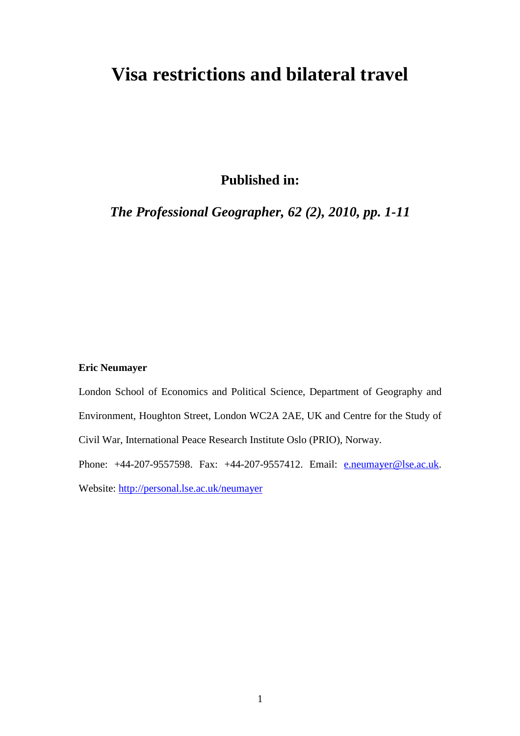# **Visa restrictions and bilateral travel**

**Published in:** 

*The Professional Geographer, 62 (2), 2010, pp. 1-11*

## **Eric Neumayer**

London School of Economics and Political Science, Department of Geography and Environment, Houghton Street, London WC2A 2AE, UK and Centre for the Study of Civil War, International Peace Research Institute Oslo (PRIO), Norway. Phone: +44-207-9557598. Fax: +44-207-9557412. Email: e.neumayer@lse.ac.uk.

Website: http://personal.lse.ac.uk/neumayer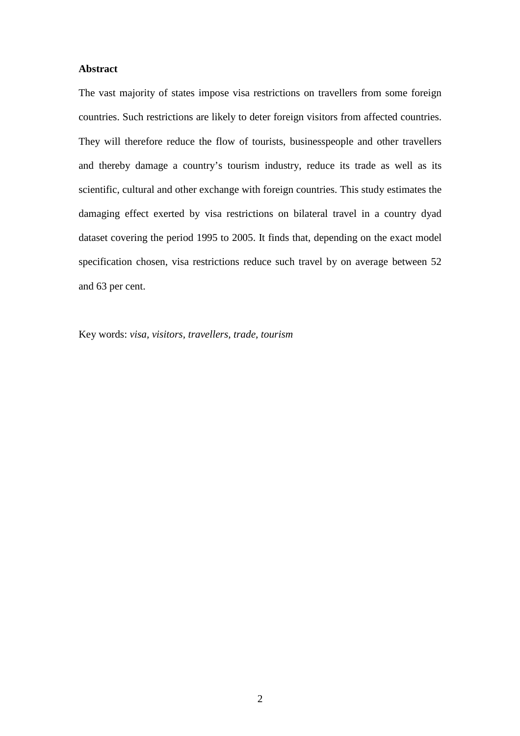### **Abstract**

The vast majority of states impose visa restrictions on travellers from some foreign countries. Such restrictions are likely to deter foreign visitors from affected countries. They will therefore reduce the flow of tourists, businesspeople and other travellers and thereby damage a country's tourism industry, reduce its trade as well as its scientific, cultural and other exchange with foreign countries. This study estimates the damaging effect exerted by visa restrictions on bilateral travel in a country dyad dataset covering the period 1995 to 2005. It finds that, depending on the exact model specification chosen, visa restrictions reduce such travel by on average between 52 and 63 per cent.

Key words: *visa, visitors, travellers, trade, tourism*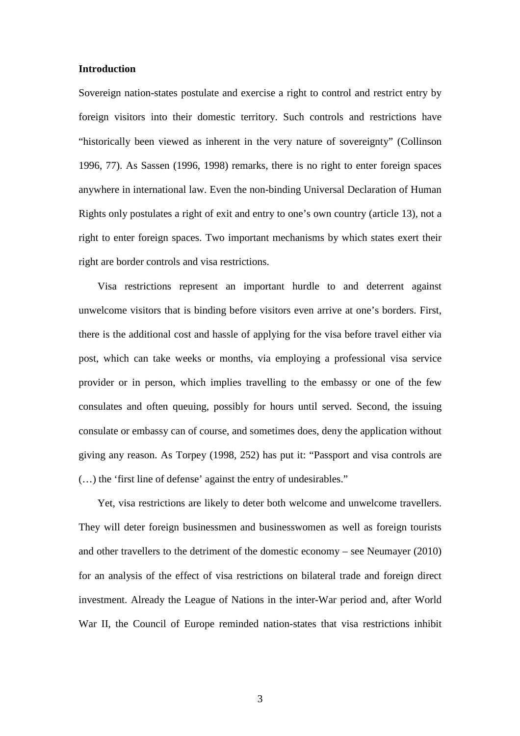#### **Introduction**

Sovereign nation-states postulate and exercise a right to control and restrict entry by foreign visitors into their domestic territory. Such controls and restrictions have "historically been viewed as inherent in the very nature of sovereignty" (Collinson 1996, 77). As Sassen (1996, 1998) remarks, there is no right to enter foreign spaces anywhere in international law. Even the non-binding Universal Declaration of Human Rights only postulates a right of exit and entry to one's own country (article 13), not a right to enter foreign spaces. Two important mechanisms by which states exert their right are border controls and visa restrictions.

Visa restrictions represent an important hurdle to and deterrent against unwelcome visitors that is binding before visitors even arrive at one's borders. First, there is the additional cost and hassle of applying for the visa before travel either via post, which can take weeks or months, via employing a professional visa service provider or in person, which implies travelling to the embassy or one of the few consulates and often queuing, possibly for hours until served. Second, the issuing consulate or embassy can of course, and sometimes does, deny the application without giving any reason. As Torpey (1998, 252) has put it: "Passport and visa controls are (…) the 'first line of defense' against the entry of undesirables."

Yet, visa restrictions are likely to deter both welcome and unwelcome travellers. They will deter foreign businessmen and businesswomen as well as foreign tourists and other travellers to the detriment of the domestic economy – see Neumayer (2010) for an analysis of the effect of visa restrictions on bilateral trade and foreign direct investment. Already the League of Nations in the inter-War period and, after World War II, the Council of Europe reminded nation-states that visa restrictions inhibit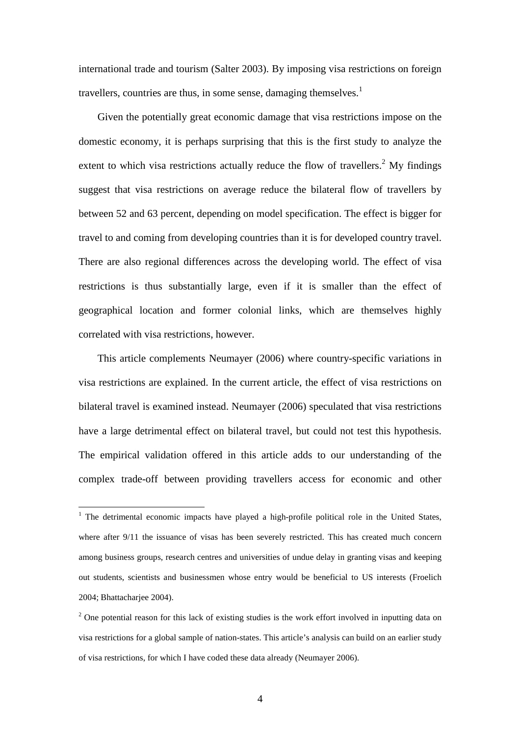international trade and tourism (Salter 2003). By imposing visa restrictions on foreign travellers, countries are thus, in some sense, damaging themselves. $<sup>1</sup>$ </sup>

Given the potentially great economic damage that visa restrictions impose on the domestic economy, it is perhaps surprising that this is the first study to analyze the extent to which visa restrictions actually reduce the flow of travellers.<sup>2</sup> My findings suggest that visa restrictions on average reduce the bilateral flow of travellers by between 52 and 63 percent, depending on model specification. The effect is bigger for travel to and coming from developing countries than it is for developed country travel. There are also regional differences across the developing world. The effect of visa restrictions is thus substantially large, even if it is smaller than the effect of geographical location and former colonial links, which are themselves highly correlated with visa restrictions, however.

This article complements Neumayer (2006) where country-specific variations in visa restrictions are explained. In the current article, the effect of visa restrictions on bilateral travel is examined instead. Neumayer (2006) speculated that visa restrictions have a large detrimental effect on bilateral travel, but could not test this hypothesis. The empirical validation offered in this article adds to our understanding of the complex trade-off between providing travellers access for economic and other

 $\overline{a}$ 

<sup>&</sup>lt;sup>1</sup> The detrimental economic impacts have played a high-profile political role in the United States, where after 9/11 the issuance of visas has been severely restricted. This has created much concern among business groups, research centres and universities of undue delay in granting visas and keeping out students, scientists and businessmen whose entry would be beneficial to US interests (Froelich 2004; Bhattacharjee 2004).

 $2^2$  One potential reason for this lack of existing studies is the work effort involved in inputting data on visa restrictions for a global sample of nation-states. This article's analysis can build on an earlier study of visa restrictions, for which I have coded these data already (Neumayer 2006).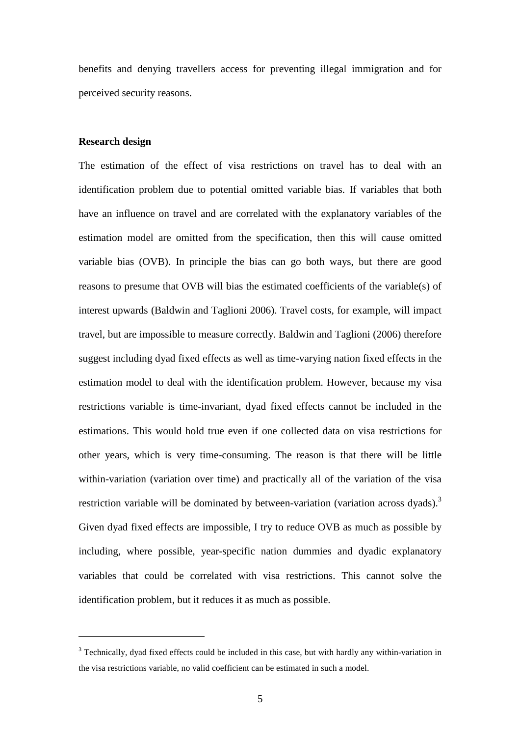benefits and denying travellers access for preventing illegal immigration and for perceived security reasons.

#### **Research design**

 $\overline{a}$ 

The estimation of the effect of visa restrictions on travel has to deal with an identification problem due to potential omitted variable bias. If variables that both have an influence on travel and are correlated with the explanatory variables of the estimation model are omitted from the specification, then this will cause omitted variable bias (OVB). In principle the bias can go both ways, but there are good reasons to presume that OVB will bias the estimated coefficients of the variable(s) of interest upwards (Baldwin and Taglioni 2006). Travel costs, for example, will impact travel, but are impossible to measure correctly. Baldwin and Taglioni (2006) therefore suggest including dyad fixed effects as well as time-varying nation fixed effects in the estimation model to deal with the identification problem. However, because my visa restrictions variable is time-invariant, dyad fixed effects cannot be included in the estimations. This would hold true even if one collected data on visa restrictions for other years, which is very time-consuming. The reason is that there will be little within-variation (variation over time) and practically all of the variation of the visa restriction variable will be dominated by between-variation (variation across dyads).<sup>3</sup> Given dyad fixed effects are impossible, I try to reduce OVB as much as possible by including, where possible, year-specific nation dummies and dyadic explanatory variables that could be correlated with visa restrictions. This cannot solve the identification problem, but it reduces it as much as possible.

 $3$  Technically, dyad fixed effects could be included in this case, but with hardly any within-variation in the visa restrictions variable, no valid coefficient can be estimated in such a model.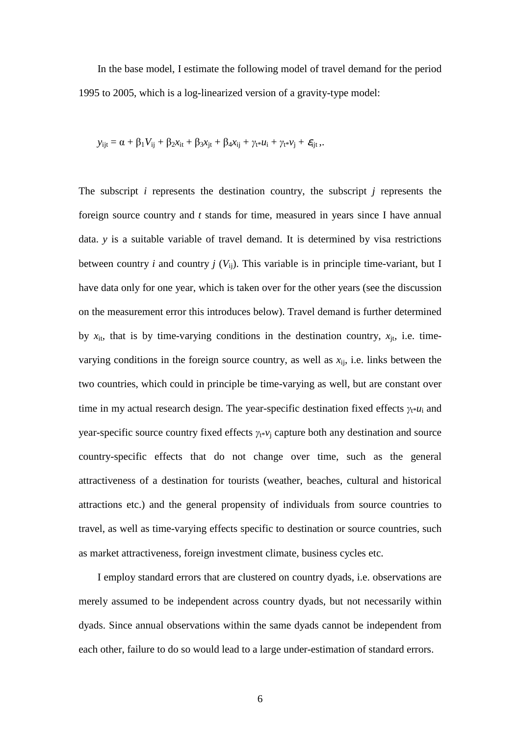In the base model, I estimate the following model of travel demand for the period 1995 to 2005, which is a log-linearized version of a gravity-type model:

$$
y_{ijt} = \alpha + \beta_1 V_{ij} + \beta_2 x_{it} + \beta_3 x_{jt} + \beta_4 x_{ij} + \gamma_{t^*} u_i + \gamma_{t^*} v_j + \mathcal{E}_{ijt},
$$

The subscript *i* represents the destination country, the subscript *j* represents the foreign source country and *t* stands for time, measured in years since I have annual data. *y* is a suitable variable of travel demand. It is determined by visa restrictions between country *i* and country *j* ( $V_{ii}$ ). This variable is in principle time-variant, but I have data only for one year, which is taken over for the other years (see the discussion on the measurement error this introduces below). Travel demand is further determined by  $x_{it}$ , that is by time-varying conditions in the destination country,  $x_{it}$ , i.e. timevarying conditions in the foreign source country, as well as  $x_{ij}$ , i.e. links between the two countries, which could in principle be time-varying as well, but are constant over time in my actual research design. The year-specific destination fixed effects  $\gamma_{t^*}u_i$  and year-specific source country fixed effects  $\gamma_{t}$ <sub>*\*</sub>v*<sub>j</sub> capture both any destination and source</sub> country-specific effects that do not change over time, such as the general attractiveness of a destination for tourists (weather, beaches, cultural and historical attractions etc.) and the general propensity of individuals from source countries to travel, as well as time-varying effects specific to destination or source countries, such as market attractiveness, foreign investment climate, business cycles etc.

I employ standard errors that are clustered on country dyads, i.e. observations are merely assumed to be independent across country dyads, but not necessarily within dyads. Since annual observations within the same dyads cannot be independent from each other, failure to do so would lead to a large under-estimation of standard errors.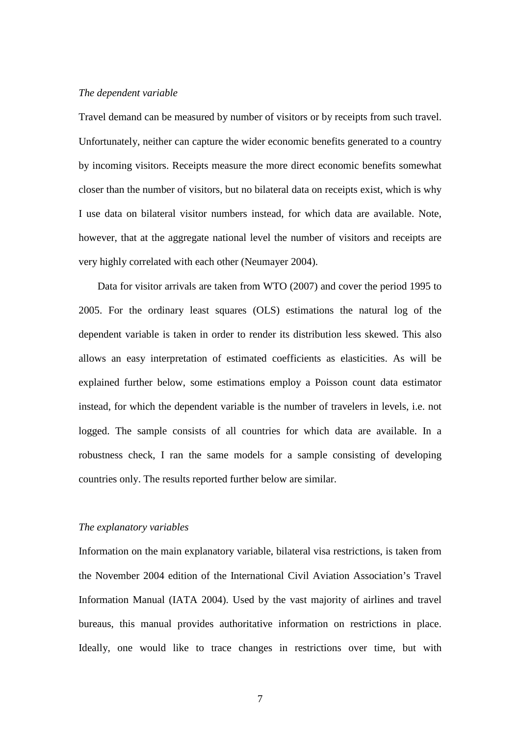#### *The dependent variable*

Travel demand can be measured by number of visitors or by receipts from such travel. Unfortunately, neither can capture the wider economic benefits generated to a country by incoming visitors. Receipts measure the more direct economic benefits somewhat closer than the number of visitors, but no bilateral data on receipts exist, which is why I use data on bilateral visitor numbers instead, for which data are available. Note, however, that at the aggregate national level the number of visitors and receipts are very highly correlated with each other (Neumayer 2004).

Data for visitor arrivals are taken from WTO (2007) and cover the period 1995 to 2005. For the ordinary least squares (OLS) estimations the natural log of the dependent variable is taken in order to render its distribution less skewed. This also allows an easy interpretation of estimated coefficients as elasticities. As will be explained further below, some estimations employ a Poisson count data estimator instead, for which the dependent variable is the number of travelers in levels, i.e. not logged. The sample consists of all countries for which data are available. In a robustness check, I ran the same models for a sample consisting of developing countries only. The results reported further below are similar.

#### *The explanatory variables*

Information on the main explanatory variable, bilateral visa restrictions, is taken from the November 2004 edition of the International Civil Aviation Association's Travel Information Manual (IATA 2004). Used by the vast majority of airlines and travel bureaus, this manual provides authoritative information on restrictions in place. Ideally, one would like to trace changes in restrictions over time, but with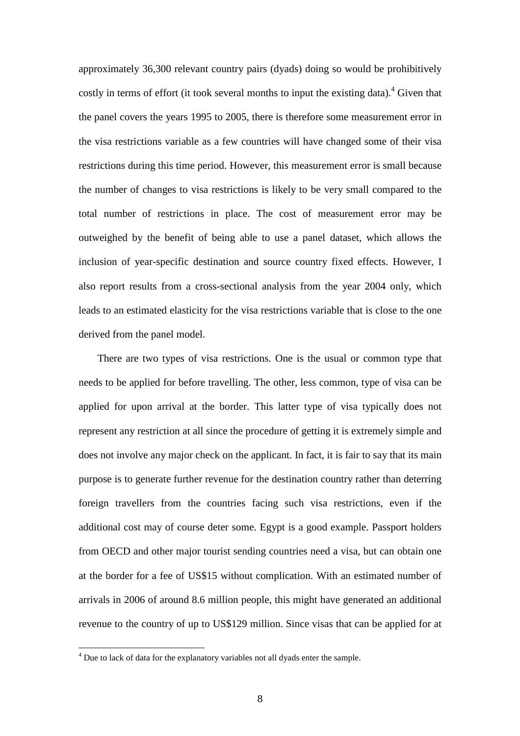approximately 36,300 relevant country pairs (dyads) doing so would be prohibitively costly in terms of effort (it took several months to input the existing data).<sup>4</sup> Given that the panel covers the years 1995 to 2005, there is therefore some measurement error in the visa restrictions variable as a few countries will have changed some of their visa restrictions during this time period. However, this measurement error is small because the number of changes to visa restrictions is likely to be very small compared to the total number of restrictions in place. The cost of measurement error may be outweighed by the benefit of being able to use a panel dataset, which allows the inclusion of year-specific destination and source country fixed effects. However, I also report results from a cross-sectional analysis from the year 2004 only, which leads to an estimated elasticity for the visa restrictions variable that is close to the one derived from the panel model.

There are two types of visa restrictions. One is the usual or common type that needs to be applied for before travelling. The other, less common, type of visa can be applied for upon arrival at the border. This latter type of visa typically does not represent any restriction at all since the procedure of getting it is extremely simple and does not involve any major check on the applicant. In fact, it is fair to say that its main purpose is to generate further revenue for the destination country rather than deterring foreign travellers from the countries facing such visa restrictions, even if the additional cost may of course deter some. Egypt is a good example. Passport holders from OECD and other major tourist sending countries need a visa, but can obtain one at the border for a fee of US\$15 without complication. With an estimated number of arrivals in 2006 of around 8.6 million people, this might have generated an additional revenue to the country of up to US\$129 million. Since visas that can be applied for at

 4 Due to lack of data for the explanatory variables not all dyads enter the sample.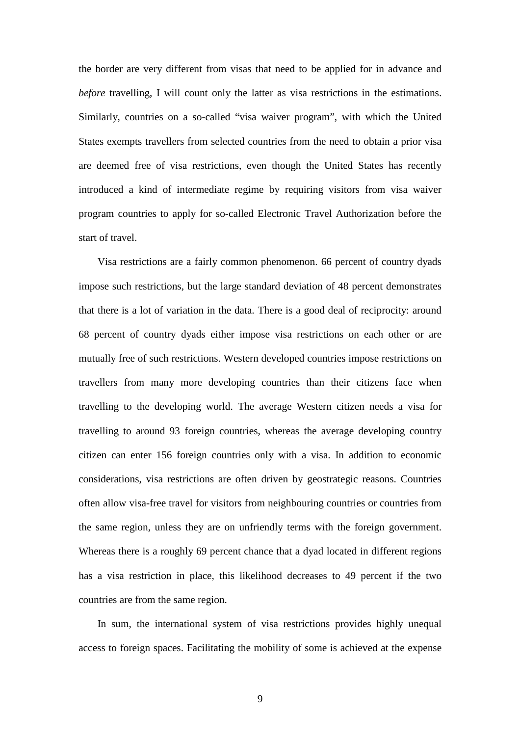the border are very different from visas that need to be applied for in advance and *before* travelling, I will count only the latter as visa restrictions in the estimations. Similarly, countries on a so-called "visa waiver program", with which the United States exempts travellers from selected countries from the need to obtain a prior visa are deemed free of visa restrictions, even though the United States has recently introduced a kind of intermediate regime by requiring visitors from visa waiver program countries to apply for so-called Electronic Travel Authorization before the start of travel.

Visa restrictions are a fairly common phenomenon. 66 percent of country dyads impose such restrictions, but the large standard deviation of 48 percent demonstrates that there is a lot of variation in the data. There is a good deal of reciprocity: around 68 percent of country dyads either impose visa restrictions on each other or are mutually free of such restrictions. Western developed countries impose restrictions on travellers from many more developing countries than their citizens face when travelling to the developing world. The average Western citizen needs a visa for travelling to around 93 foreign countries, whereas the average developing country citizen can enter 156 foreign countries only with a visa. In addition to economic considerations, visa restrictions are often driven by geostrategic reasons. Countries often allow visa-free travel for visitors from neighbouring countries or countries from the same region, unless they are on unfriendly terms with the foreign government. Whereas there is a roughly 69 percent chance that a dyad located in different regions has a visa restriction in place, this likelihood decreases to 49 percent if the two countries are from the same region.

In sum, the international system of visa restrictions provides highly unequal access to foreign spaces. Facilitating the mobility of some is achieved at the expense

9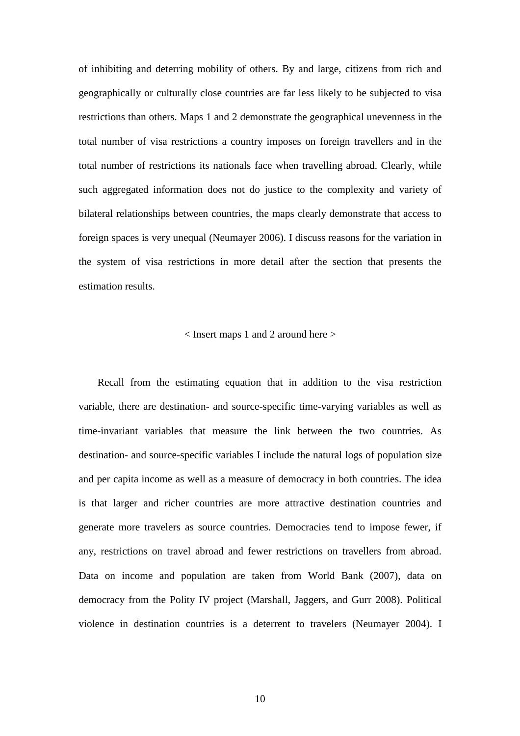of inhibiting and deterring mobility of others. By and large, citizens from rich and geographically or culturally close countries are far less likely to be subjected to visa restrictions than others. Maps 1 and 2 demonstrate the geographical unevenness in the total number of visa restrictions a country imposes on foreign travellers and in the total number of restrictions its nationals face when travelling abroad. Clearly, while such aggregated information does not do justice to the complexity and variety of bilateral relationships between countries, the maps clearly demonstrate that access to foreign spaces is very unequal (Neumayer 2006). I discuss reasons for the variation in the system of visa restrictions in more detail after the section that presents the estimation results.

#### < Insert maps 1 and 2 around here >

Recall from the estimating equation that in addition to the visa restriction variable, there are destination- and source-specific time-varying variables as well as time-invariant variables that measure the link between the two countries. As destination- and source-specific variables I include the natural logs of population size and per capita income as well as a measure of democracy in both countries. The idea is that larger and richer countries are more attractive destination countries and generate more travelers as source countries. Democracies tend to impose fewer, if any, restrictions on travel abroad and fewer restrictions on travellers from abroad. Data on income and population are taken from World Bank (2007), data on democracy from the Polity IV project (Marshall, Jaggers, and Gurr 2008). Political violence in destination countries is a deterrent to travelers (Neumayer 2004). I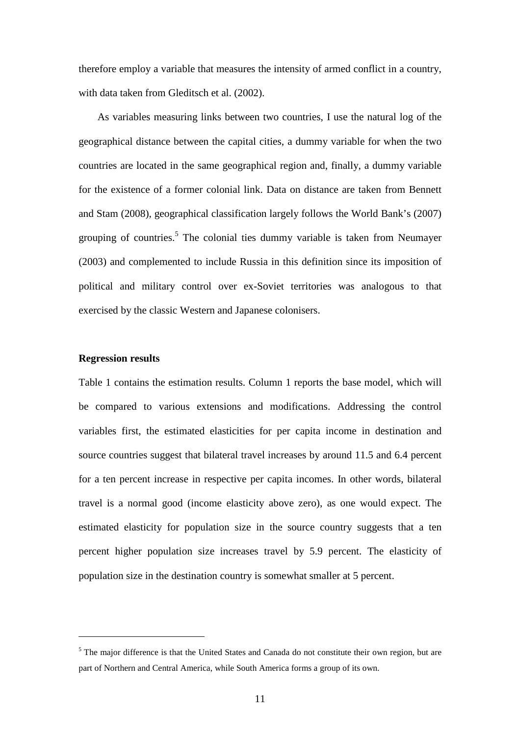therefore employ a variable that measures the intensity of armed conflict in a country, with data taken from Gleditsch et al. (2002).

As variables measuring links between two countries, I use the natural log of the geographical distance between the capital cities, a dummy variable for when the two countries are located in the same geographical region and, finally, a dummy variable for the existence of a former colonial link. Data on distance are taken from Bennett and Stam (2008), geographical classification largely follows the World Bank's (2007) grouping of countries.<sup>5</sup> The colonial ties dummy variable is taken from Neumayer (2003) and complemented to include Russia in this definition since its imposition of political and military control over ex-Soviet territories was analogous to that exercised by the classic Western and Japanese colonisers.

#### **Regression results**

 $\overline{a}$ 

Table 1 contains the estimation results. Column 1 reports the base model, which will be compared to various extensions and modifications. Addressing the control variables first, the estimated elasticities for per capita income in destination and source countries suggest that bilateral travel increases by around 11.5 and 6.4 percent for a ten percent increase in respective per capita incomes. In other words, bilateral travel is a normal good (income elasticity above zero), as one would expect. The estimated elasticity for population size in the source country suggests that a ten percent higher population size increases travel by 5.9 percent. The elasticity of population size in the destination country is somewhat smaller at 5 percent.

<sup>&</sup>lt;sup>5</sup> The major difference is that the United States and Canada do not constitute their own region, but are part of Northern and Central America, while South America forms a group of its own.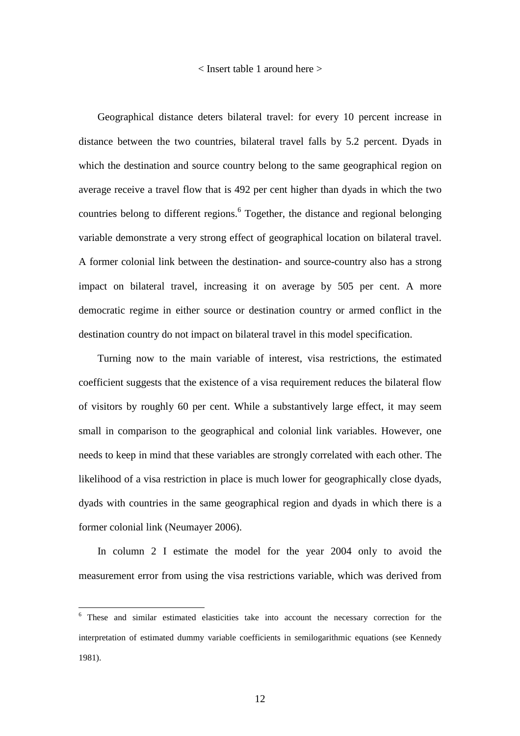< Insert table 1 around here >

Geographical distance deters bilateral travel: for every 10 percent increase in distance between the two countries, bilateral travel falls by 5.2 percent. Dyads in which the destination and source country belong to the same geographical region on average receive a travel flow that is 492 per cent higher than dyads in which the two countries belong to different regions. <sup>6</sup> Together, the distance and regional belonging variable demonstrate a very strong effect of geographical location on bilateral travel. A former colonial link between the destination- and source-country also has a strong impact on bilateral travel, increasing it on average by 505 per cent. A more democratic regime in either source or destination country or armed conflict in the destination country do not impact on bilateral travel in this model specification.

Turning now to the main variable of interest, visa restrictions, the estimated coefficient suggests that the existence of a visa requirement reduces the bilateral flow of visitors by roughly 60 per cent. While a substantively large effect, it may seem small in comparison to the geographical and colonial link variables. However, one needs to keep in mind that these variables are strongly correlated with each other. The likelihood of a visa restriction in place is much lower for geographically close dyads, dyads with countries in the same geographical region and dyads in which there is a former colonial link (Neumayer 2006).

In column 2 I estimate the model for the year 2004 only to avoid the measurement error from using the visa restrictions variable, which was derived from

 $\overline{a}$ 

<sup>&</sup>lt;sup>6</sup> These and similar estimated elasticities take into account the necessary correction for the interpretation of estimated dummy variable coefficients in semilogarithmic equations (see Kennedy 1981).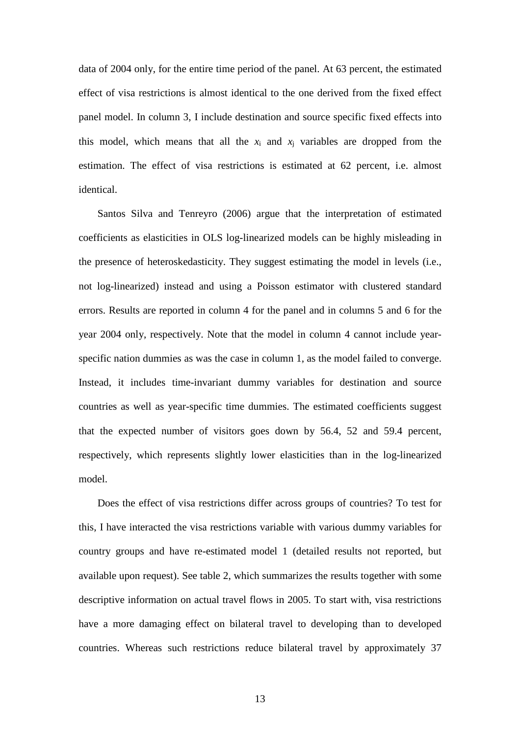data of 2004 only, for the entire time period of the panel. At 63 percent, the estimated effect of visa restrictions is almost identical to the one derived from the fixed effect panel model. In column 3, I include destination and source specific fixed effects into this model, which means that all the  $x_i$  and  $x_j$  variables are dropped from the estimation. The effect of visa restrictions is estimated at 62 percent, i.e. almost identical.

Santos Silva and Tenreyro (2006) argue that the interpretation of estimated coefficients as elasticities in OLS log-linearized models can be highly misleading in the presence of heteroskedasticity. They suggest estimating the model in levels (i.e., not log-linearized) instead and using a Poisson estimator with clustered standard errors. Results are reported in column 4 for the panel and in columns 5 and 6 for the year 2004 only, respectively. Note that the model in column 4 cannot include yearspecific nation dummies as was the case in column 1, as the model failed to converge. Instead, it includes time-invariant dummy variables for destination and source countries as well as year-specific time dummies. The estimated coefficients suggest that the expected number of visitors goes down by 56.4, 52 and 59.4 percent, respectively, which represents slightly lower elasticities than in the log-linearized model.

Does the effect of visa restrictions differ across groups of countries? To test for this, I have interacted the visa restrictions variable with various dummy variables for country groups and have re-estimated model 1 (detailed results not reported, but available upon request). See table 2, which summarizes the results together with some descriptive information on actual travel flows in 2005. To start with, visa restrictions have a more damaging effect on bilateral travel to developing than to developed countries. Whereas such restrictions reduce bilateral travel by approximately 37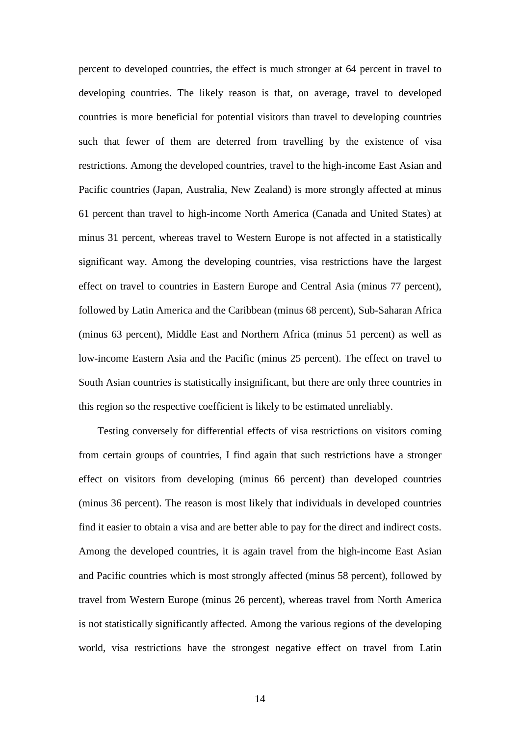percent to developed countries, the effect is much stronger at 64 percent in travel to developing countries. The likely reason is that, on average, travel to developed countries is more beneficial for potential visitors than travel to developing countries such that fewer of them are deterred from travelling by the existence of visa restrictions. Among the developed countries, travel to the high-income East Asian and Pacific countries (Japan, Australia, New Zealand) is more strongly affected at minus 61 percent than travel to high-income North America (Canada and United States) at minus 31 percent, whereas travel to Western Europe is not affected in a statistically significant way. Among the developing countries, visa restrictions have the largest effect on travel to countries in Eastern Europe and Central Asia (minus 77 percent), followed by Latin America and the Caribbean (minus 68 percent), Sub-Saharan Africa (minus 63 percent), Middle East and Northern Africa (minus 51 percent) as well as low-income Eastern Asia and the Pacific (minus 25 percent). The effect on travel to South Asian countries is statistically insignificant, but there are only three countries in this region so the respective coefficient is likely to be estimated unreliably.

Testing conversely for differential effects of visa restrictions on visitors coming from certain groups of countries, I find again that such restrictions have a stronger effect on visitors from developing (minus 66 percent) than developed countries (minus 36 percent). The reason is most likely that individuals in developed countries find it easier to obtain a visa and are better able to pay for the direct and indirect costs. Among the developed countries, it is again travel from the high-income East Asian and Pacific countries which is most strongly affected (minus 58 percent), followed by travel from Western Europe (minus 26 percent), whereas travel from North America is not statistically significantly affected. Among the various regions of the developing world, visa restrictions have the strongest negative effect on travel from Latin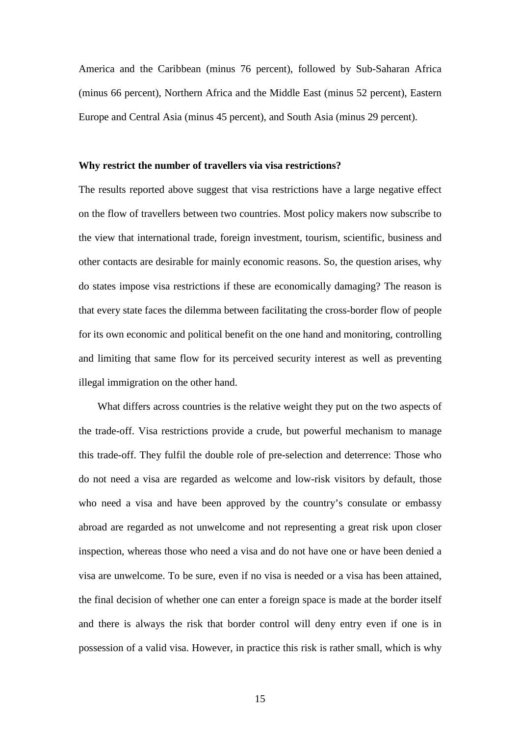America and the Caribbean (minus 76 percent), followed by Sub-Saharan Africa (minus 66 percent), Northern Africa and the Middle East (minus 52 percent), Eastern Europe and Central Asia (minus 45 percent), and South Asia (minus 29 percent).

#### **Why restrict the number of travellers via visa restrictions?**

The results reported above suggest that visa restrictions have a large negative effect on the flow of travellers between two countries. Most policy makers now subscribe to the view that international trade, foreign investment, tourism, scientific, business and other contacts are desirable for mainly economic reasons. So, the question arises, why do states impose visa restrictions if these are economically damaging? The reason is that every state faces the dilemma between facilitating the cross-border flow of people for its own economic and political benefit on the one hand and monitoring, controlling and limiting that same flow for its perceived security interest as well as preventing illegal immigration on the other hand.

What differs across countries is the relative weight they put on the two aspects of the trade-off. Visa restrictions provide a crude, but powerful mechanism to manage this trade-off. They fulfil the double role of pre-selection and deterrence: Those who do not need a visa are regarded as welcome and low-risk visitors by default, those who need a visa and have been approved by the country's consulate or embassy abroad are regarded as not unwelcome and not representing a great risk upon closer inspection, whereas those who need a visa and do not have one or have been denied a visa are unwelcome. To be sure, even if no visa is needed or a visa has been attained, the final decision of whether one can enter a foreign space is made at the border itself and there is always the risk that border control will deny entry even if one is in possession of a valid visa. However, in practice this risk is rather small, which is why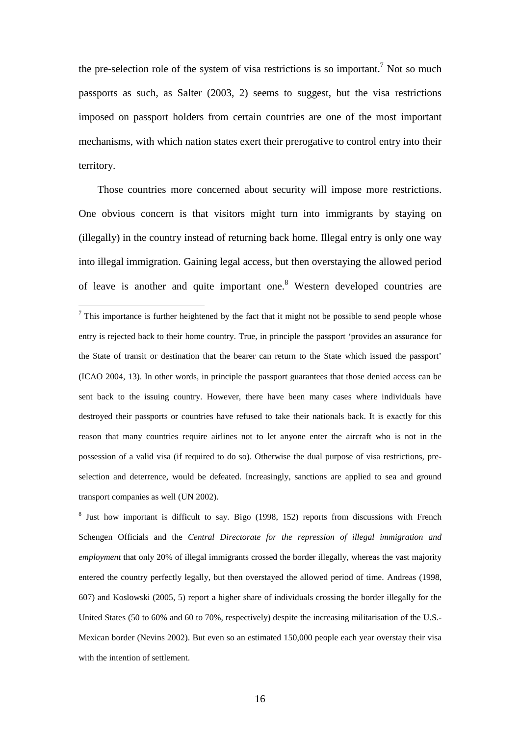the pre-selection role of the system of visa restrictions is so important.<sup>7</sup> Not so much passports as such, as Salter (2003, 2) seems to suggest, but the visa restrictions imposed on passport holders from certain countries are one of the most important mechanisms, with which nation states exert their prerogative to control entry into their territory.

Those countries more concerned about security will impose more restrictions. One obvious concern is that visitors might turn into immigrants by staying on (illegally) in the country instead of returning back home. Illegal entry is only one way into illegal immigration. Gaining legal access, but then overstaying the allowed period of leave is another and quite important one.<sup>8</sup> Western developed countries are

 $\overline{a}$ 

<sup>8</sup> Just how important is difficult to say. Bigo (1998, 152) reports from discussions with French Schengen Officials and the *Central Directorate for the repression of illegal immigration and employment* that only 20% of illegal immigrants crossed the border illegally, whereas the vast majority entered the country perfectly legally, but then overstayed the allowed period of time. Andreas (1998, 607) and Koslowski (2005, 5) report a higher share of individuals crossing the border illegally for the United States (50 to 60% and 60 to 70%, respectively) despite the increasing militarisation of the U.S.- Mexican border (Nevins 2002). But even so an estimated 150,000 people each year overstay their visa with the intention of settlement.

 $<sup>7</sup>$  This importance is further heightened by the fact that it might not be possible to send people whose</sup> entry is rejected back to their home country. True, in principle the passport 'provides an assurance for the State of transit or destination that the bearer can return to the State which issued the passport' (ICAO 2004, 13). In other words, in principle the passport guarantees that those denied access can be sent back to the issuing country. However, there have been many cases where individuals have destroyed their passports or countries have refused to take their nationals back. It is exactly for this reason that many countries require airlines not to let anyone enter the aircraft who is not in the possession of a valid visa (if required to do so). Otherwise the dual purpose of visa restrictions, preselection and deterrence, would be defeated. Increasingly, sanctions are applied to sea and ground transport companies as well (UN 2002).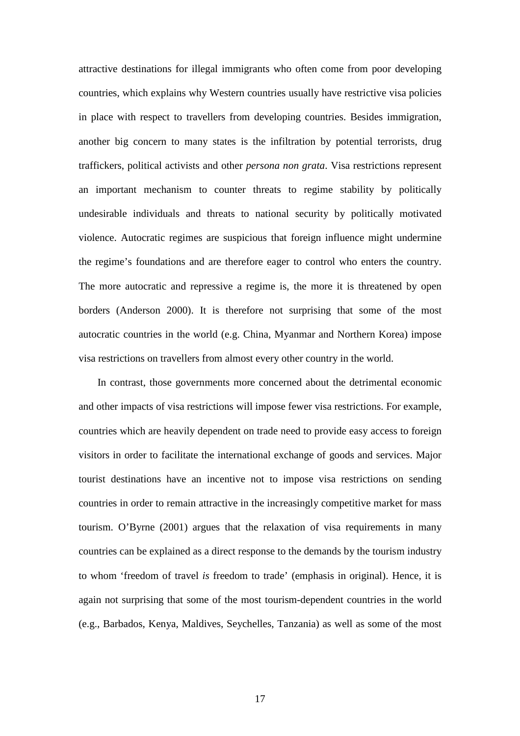attractive destinations for illegal immigrants who often come from poor developing countries, which explains why Western countries usually have restrictive visa policies in place with respect to travellers from developing countries. Besides immigration, another big concern to many states is the infiltration by potential terrorists, drug traffickers, political activists and other *persona non grata*. Visa restrictions represent an important mechanism to counter threats to regime stability by politically undesirable individuals and threats to national security by politically motivated violence. Autocratic regimes are suspicious that foreign influence might undermine the regime's foundations and are therefore eager to control who enters the country. The more autocratic and repressive a regime is, the more it is threatened by open borders (Anderson 2000). It is therefore not surprising that some of the most autocratic countries in the world (e.g. China, Myanmar and Northern Korea) impose visa restrictions on travellers from almost every other country in the world.

In contrast, those governments more concerned about the detrimental economic and other impacts of visa restrictions will impose fewer visa restrictions. For example, countries which are heavily dependent on trade need to provide easy access to foreign visitors in order to facilitate the international exchange of goods and services. Major tourist destinations have an incentive not to impose visa restrictions on sending countries in order to remain attractive in the increasingly competitive market for mass tourism. O'Byrne (2001) argues that the relaxation of visa requirements in many countries can be explained as a direct response to the demands by the tourism industry to whom 'freedom of travel *is* freedom to trade' (emphasis in original). Hence, it is again not surprising that some of the most tourism-dependent countries in the world (e.g., Barbados, Kenya, Maldives, Seychelles, Tanzania) as well as some of the most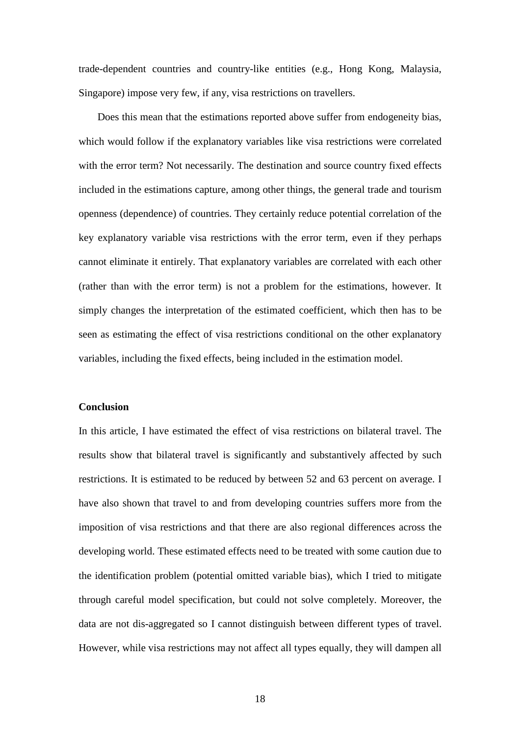trade-dependent countries and country-like entities (e.g., Hong Kong, Malaysia, Singapore) impose very few, if any, visa restrictions on travellers.

Does this mean that the estimations reported above suffer from endogeneity bias, which would follow if the explanatory variables like visa restrictions were correlated with the error term? Not necessarily. The destination and source country fixed effects included in the estimations capture, among other things, the general trade and tourism openness (dependence) of countries. They certainly reduce potential correlation of the key explanatory variable visa restrictions with the error term, even if they perhaps cannot eliminate it entirely. That explanatory variables are correlated with each other (rather than with the error term) is not a problem for the estimations, however. It simply changes the interpretation of the estimated coefficient, which then has to be seen as estimating the effect of visa restrictions conditional on the other explanatory variables, including the fixed effects, being included in the estimation model.

#### **Conclusion**

In this article, I have estimated the effect of visa restrictions on bilateral travel. The results show that bilateral travel is significantly and substantively affected by such restrictions. It is estimated to be reduced by between 52 and 63 percent on average. I have also shown that travel to and from developing countries suffers more from the imposition of visa restrictions and that there are also regional differences across the developing world. These estimated effects need to be treated with some caution due to the identification problem (potential omitted variable bias), which I tried to mitigate through careful model specification, but could not solve completely. Moreover, the data are not dis-aggregated so I cannot distinguish between different types of travel. However, while visa restrictions may not affect all types equally, they will dampen all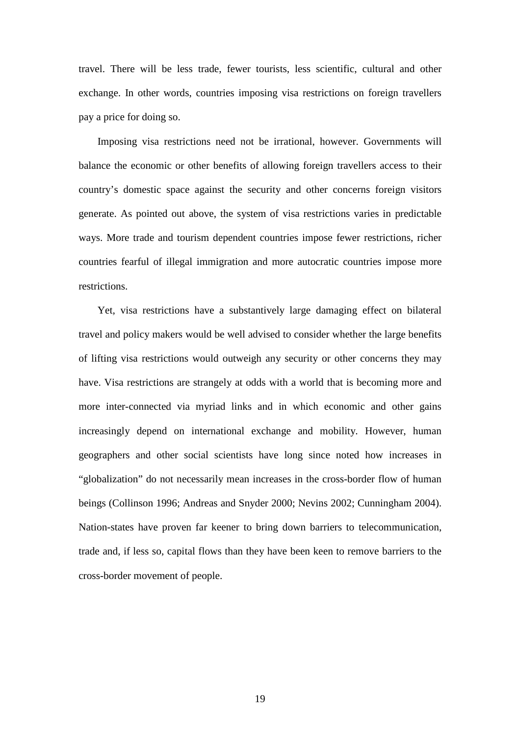travel. There will be less trade, fewer tourists, less scientific, cultural and other exchange. In other words, countries imposing visa restrictions on foreign travellers pay a price for doing so.

Imposing visa restrictions need not be irrational, however. Governments will balance the economic or other benefits of allowing foreign travellers access to their country's domestic space against the security and other concerns foreign visitors generate. As pointed out above, the system of visa restrictions varies in predictable ways. More trade and tourism dependent countries impose fewer restrictions, richer countries fearful of illegal immigration and more autocratic countries impose more restrictions.

Yet, visa restrictions have a substantively large damaging effect on bilateral travel and policy makers would be well advised to consider whether the large benefits of lifting visa restrictions would outweigh any security or other concerns they may have. Visa restrictions are strangely at odds with a world that is becoming more and more inter-connected via myriad links and in which economic and other gains increasingly depend on international exchange and mobility. However, human geographers and other social scientists have long since noted how increases in "globalization" do not necessarily mean increases in the cross-border flow of human beings (Collinson 1996; Andreas and Snyder 2000; Nevins 2002; Cunningham 2004). Nation-states have proven far keener to bring down barriers to telecommunication, trade and, if less so, capital flows than they have been keen to remove barriers to the cross-border movement of people.

19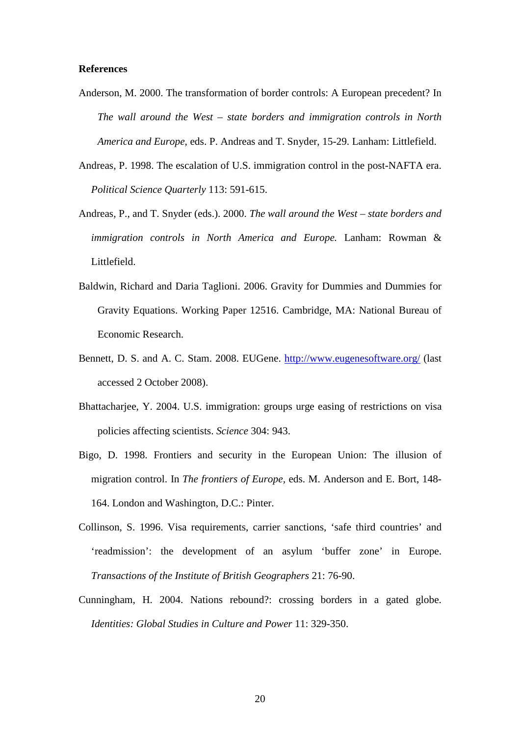#### **References**

- Anderson, M. 2000. The transformation of border controls: A European precedent? In *The wall around the West – state borders and immigration controls in North America and Europe*, eds. P. Andreas and T. Snyder, 15-29. Lanham: Littlefield.
- Andreas, P. 1998. The escalation of U.S. immigration control in the post-NAFTA era. *Political Science Quarterly* 113: 591-615.
- Andreas, P., and T. Snyder (eds.). 2000. *The wall around the West state borders and immigration controls in North America and Europe.* Lanham: Rowman & Littlefield.
- Baldwin, Richard and Daria Taglioni. 2006. Gravity for Dummies and Dummies for Gravity Equations. Working Paper 12516. Cambridge, MA: National Bureau of Economic Research.
- Bennett, D. S. and A. C. Stam. 2008. EUGene. http://www.eugenesoftware.org/ (last accessed 2 October 2008).
- Bhattacharjee, Y. 2004. U.S. immigration: groups urge easing of restrictions on visa policies affecting scientists. *Science* 304: 943.
- Bigo, D. 1998. Frontiers and security in the European Union: The illusion of migration control. In *The frontiers of Europe,* eds. M. Anderson and E. Bort, 148- 164. London and Washington, D.C.: Pinter.
- Collinson, S. 1996. Visa requirements, carrier sanctions, 'safe third countries' and 'readmission': the development of an asylum 'buffer zone' in Europe. *Transactions of the Institute of British Geographers* 21: 76-90.
- Cunningham, H. 2004. Nations rebound?: crossing borders in a gated globe. *Identities: Global Studies in Culture and Power* 11: 329-350.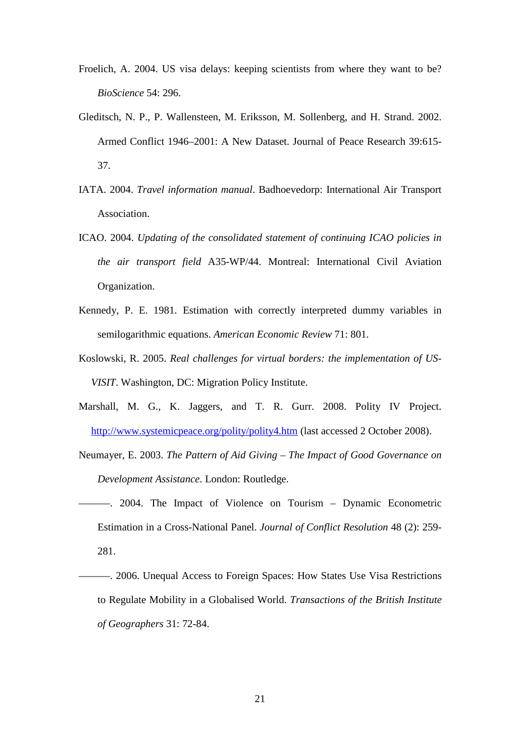- Froelich, A. 2004. US visa delays: keeping scientists from where they want to be? *BioScience* 54: 296.
- Gleditsch, N. P., P. Wallensteen, M. Eriksson, M. Sollenberg, and H. Strand. 2002. Armed Conflict 1946–2001: A New Dataset. Journal of Peace Research 39:615- 37.
- IATA. 2004. *Travel information manual*. Badhoevedorp: International Air Transport Association.
- ICAO. 2004. *Updating of the consolidated statement of continuing ICAO policies in the air transport field* A35-WP/44. Montreal: International Civil Aviation Organization.
- Kennedy, P. E. 1981. Estimation with correctly interpreted dummy variables in semilogarithmic equations. *American Economic Review* 71: 801.
- Koslowski, R. 2005. *Real challenges for virtual borders: the implementation of US-VISIT*. Washington, DC: Migration Policy Institute.
- Marshall, M. G., K. Jaggers, and T. R. Gurr. 2008. Polity IV Project. http://www.systemicpeace.org/polity/polity4.htm (last accessed 2 October 2008).
- Neumayer, E. 2003. *The Pattern of Aid Giving The Impact of Good Governance on Development Assistance*. London: Routledge.
- ———. 2004. The Impact of Violence on Tourism Dynamic Econometric Estimation in a Cross-National Panel. *Journal of Conflict Resolution* 48 (2): 259- 281.
- ———. 2006. Unequal Access to Foreign Spaces: How States Use Visa Restrictions to Regulate Mobility in a Globalised World. *Transactions of the British Institute of Geographers* 31: 72-84.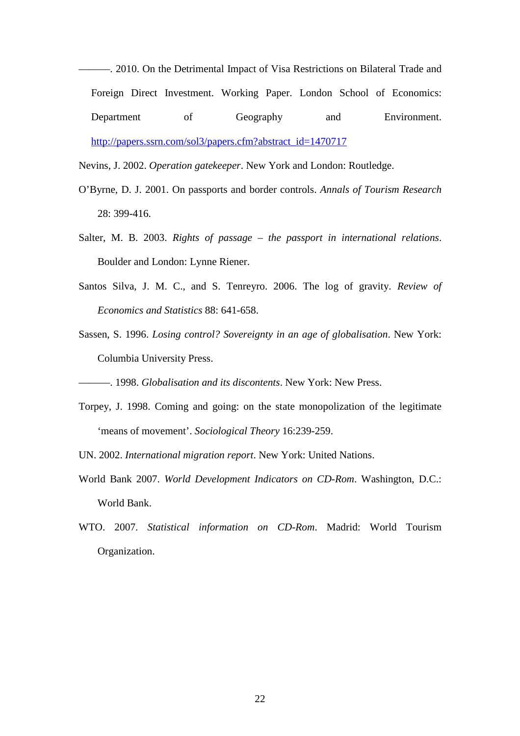———. 2010. On the Detrimental Impact of Visa Restrictions on Bilateral Trade and Foreign Direct Investment. Working Paper. London School of Economics: Department of Geography and Environment. http://papers.ssrn.com/sol3/papers.cfm?abstract\_id=1470717

Nevins, J. 2002. *Operation gatekeeper*. New York and London: Routledge.

- O'Byrne, D. J. 2001. On passports and border controls. *Annals of Tourism Research* 28: 399-416.
- Salter, M. B. 2003. *Rights of passage the passport in international relations*. Boulder and London: Lynne Riener.
- Santos Silva, J. M. C., and S. Tenreyro. 2006. The log of gravity. *Review of Economics and Statistics* 88: 641-658.
- Sassen, S. 1996. *Losing control? Sovereignty in an age of globalisation*. New York: Columbia University Press.
- ———. 1998. *Globalisation and its discontents*. New York: New Press.
- Torpey, J. 1998. Coming and going: on the state monopolization of the legitimate 'means of movement'. *Sociological Theory* 16:239-259.
- UN. 2002. *International migration report*. New York: United Nations.
- World Bank 2007. *World Development Indicators on CD-Rom*. Washington, D.C.: World Bank.
- WTO. 2007. *Statistical information on CD-Rom*. Madrid: World Tourism Organization.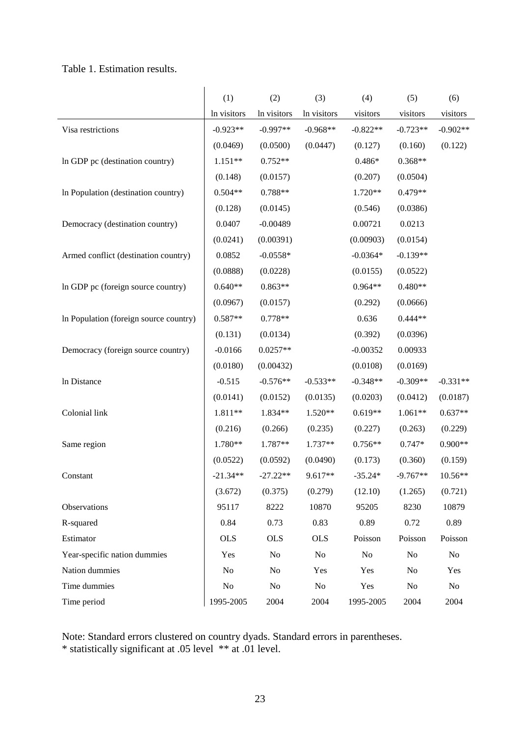## Table 1. Estimation results.

|                                        | (1)            | (2)            | (3)         | (4)        | (5)        | (6)        |
|----------------------------------------|----------------|----------------|-------------|------------|------------|------------|
|                                        | In visitors    | In visitors    | In visitors | visitors   | visitors   | visitors   |
| Visa restrictions                      | $-0.923**$     | $-0.997**$     | $-0.968**$  | $-0.822**$ | $-0.723**$ | $-0.902**$ |
|                                        | (0.0469)       | (0.0500)       | (0.0447)    | (0.127)    | (0.160)    | (0.122)    |
| In GDP pc (destination country)        | $1.151**$      | $0.752**$      |             | $0.486*$   | $0.368**$  |            |
|                                        | (0.148)        | (0.0157)       |             | (0.207)    | (0.0504)   |            |
| In Population (destination country)    | $0.504**$      | 0.788**        |             | 1.720**    | $0.479**$  |            |
|                                        | (0.128)        | (0.0145)       |             | (0.546)    | (0.0386)   |            |
| Democracy (destination country)        | 0.0407         | $-0.00489$     |             | 0.00721    | 0.0213     |            |
|                                        | (0.0241)       | (0.00391)      |             | (0.00903)  | (0.0154)   |            |
| Armed conflict (destination country)   | 0.0852         | $-0.0558*$     |             | $-0.0364*$ | $-0.139**$ |            |
|                                        | (0.0888)       | (0.0228)       |             | (0.0155)   | (0.0522)   |            |
| In GDP pc (foreign source country)     | $0.640**$      | $0.863**$      |             | 0.964**    | $0.480**$  |            |
|                                        | (0.0967)       | (0.0157)       |             | (0.292)    | (0.0666)   |            |
| In Population (foreign source country) | $0.587**$      | $0.778**$      |             | 0.636      | $0.444**$  |            |
|                                        | (0.131)        | (0.0134)       |             | (0.392)    | (0.0396)   |            |
| Democracy (foreign source country)     | $-0.0166$      | $0.0257**$     |             | $-0.00352$ | 0.00933    |            |
|                                        | (0.0180)       | (0.00432)      |             | (0.0108)   | (0.0169)   |            |
| In Distance                            | $-0.515$       | $-0.576**$     | $-0.533**$  | $-0.348**$ | $-0.309**$ | $-0.331**$ |
|                                        | (0.0141)       | (0.0152)       | (0.0135)    | (0.0203)   | (0.0412)   | (0.0187)   |
| Colonial link                          | 1.811**        | 1.834**        | 1.520**     | $0.619**$  | 1.061**    | $0.637**$  |
|                                        | (0.216)        | (0.266)        | (0.235)     | (0.227)    | (0.263)    | (0.229)    |
| Same region                            | 1.780**        | 1.787**        | 1.737**     | $0.756**$  | $0.747*$   | $0.900**$  |
|                                        | (0.0522)       | (0.0592)       | (0.0490)    | (0.173)    | (0.360)    | (0.159)    |
| Constant                               | $-21.34**$     | $-27.22**$     | 9.617**     | $-35.24*$  | $-9.767**$ | $10.56**$  |
|                                        | (3.672)        | (0.375)        | (0.279)     | (12.10)    | (1.265)    | (0.721)    |
| Observations                           | 95117          | 8222           | 10870       | 95205      | 8230       | 10879      |
| R-squared                              | 0.84           | 0.73           | 0.83        | 0.89       | 0.72       | 0.89       |
| Estimator                              | <b>OLS</b>     | <b>OLS</b>     | <b>OLS</b>  | Poisson    | Poisson    | Poisson    |
| Year-specific nation dummies           | Yes            | N <sub>o</sub> | No          | No         | No         | No         |
| Nation dummies                         | N <sub>0</sub> | No             | Yes         | Yes        | No         | Yes        |
| Time dummies                           | No             | No             | No          | Yes        | No         | No         |
| Time period                            | 1995-2005      | 2004           | 2004        | 1995-2005  | 2004       | 2004       |

Note: Standard errors clustered on country dyads. Standard errors in parentheses.

\* statistically significant at .05 level \*\* at .01 level.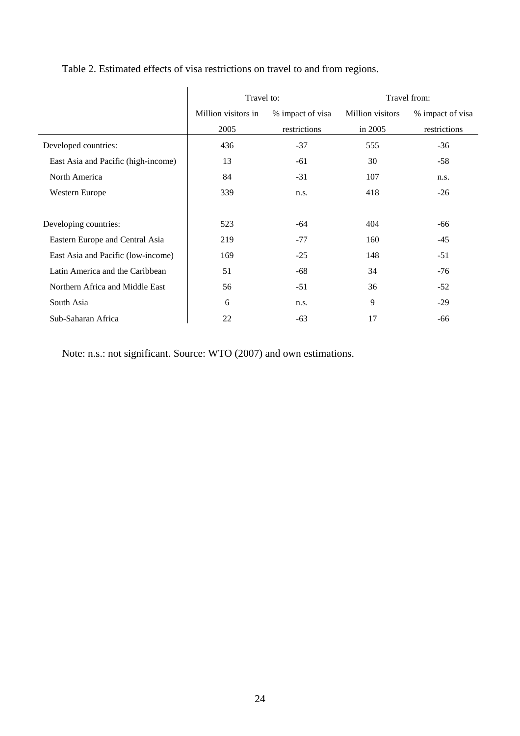|                                     | Travel to:          |                  | Travel from:     |                  |  |
|-------------------------------------|---------------------|------------------|------------------|------------------|--|
|                                     | Million visitors in | % impact of visa | Million visitors | % impact of visa |  |
|                                     | 2005                | restrictions     | in 2005          | restrictions     |  |
| Developed countries:                | 436                 | $-37$            | 555              | $-36$            |  |
| East Asia and Pacific (high-income) | 13                  | $-61$            | 30               | $-58$            |  |
| North America                       | 84                  | $-31$            | 107              | n.s.             |  |
| Western Europe                      | 339                 | n.s.             | 418              | $-26$            |  |
|                                     |                     |                  |                  |                  |  |
| Developing countries:               | 523                 | -64              | 404              | -66              |  |
| Eastern Europe and Central Asia     | 219                 | $-77$            | 160              | $-45$            |  |
| East Asia and Pacific (low-income)  | 169                 | $-25$            | 148              | $-51$            |  |
| Latin America and the Caribbean     | 51                  | $-68$            | 34               | $-76$            |  |
| Northern Africa and Middle East     | 56                  | $-51$            | 36               | $-52$            |  |
| South Asia                          | 6                   | n.s.             | 9                | $-29$            |  |
| Sub-Saharan Africa                  | 22                  | $-63$            | 17               | -66              |  |

## Table 2. Estimated effects of visa restrictions on travel to and from regions.

Note: n.s.: not significant. Source: WTO (2007) and own estimations.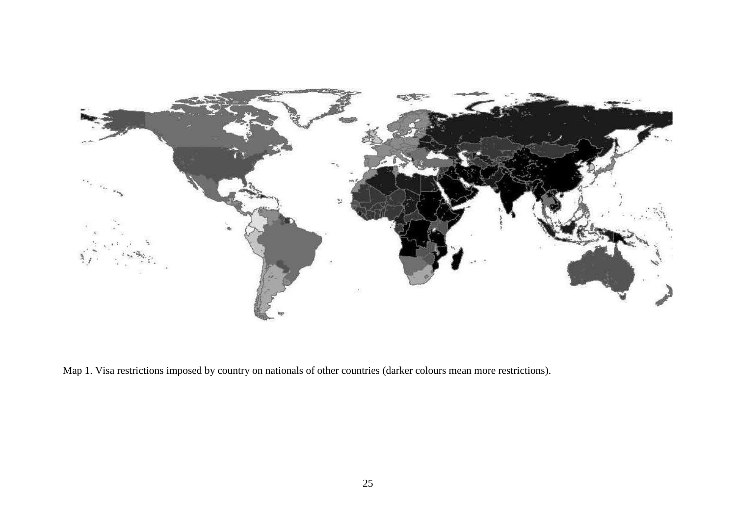

Map 1. Visa restrictions imposed by country on nationals of other countries (darker colours mean more restrictions).